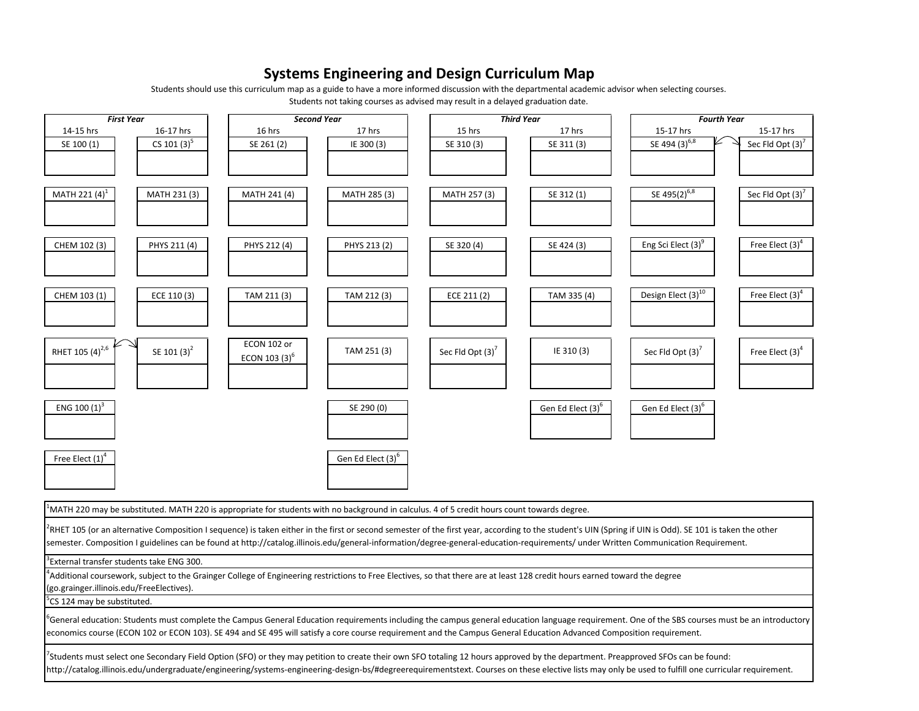## **Systems Engineering and Design Curriculum Map**

Students should use this curriculum map as <sup>a</sup> guide to have <sup>a</sup> more informed discussion with the departmental academic advisor when selecting courses.

Students not taking courses as advised may result in <sup>a</sup> delayed graduation date.

| <b>First Year</b>                                                                                                                                                                                            | <b>Second Year</b> |                               | <b>Third Year</b>            |                               | <b>Fourth Year</b>             |                              |
|--------------------------------------------------------------------------------------------------------------------------------------------------------------------------------------------------------------|--------------------|-------------------------------|------------------------------|-------------------------------|--------------------------------|------------------------------|
| 14-15 hrs<br>16-17 hrs                                                                                                                                                                                       | 16 hrs             | 17 hrs                        | 15 hrs                       | 17 hrs                        | 15-17 hrs                      | 15-17 hrs                    |
| CS 101 $(3)^5$<br>SE 100 (1)                                                                                                                                                                                 | SE 261 (2)         | IE 300 (3)                    | SE 310 (3)                   | SE 311 (3)                    | SE 494 $(3)^{6,8}$             | Sec Fld Opt $(3)^7$          |
|                                                                                                                                                                                                              |                    |                               |                              |                               |                                |                              |
|                                                                                                                                                                                                              |                    |                               |                              |                               |                                |                              |
|                                                                                                                                                                                                              |                    |                               |                              |                               |                                |                              |
| MATH 221 (4) <sup>1</sup><br>MATH 231 (3)                                                                                                                                                                    | MATH 241 (4)       | MATH 285 (3)                  | MATH 257 (3)                 | SE 312 (1)                    | SE 495(2) <sup>6,8</sup>       | Sec Fld Opt (3) <sup>7</sup> |
|                                                                                                                                                                                                              |                    |                               |                              |                               |                                |                              |
|                                                                                                                                                                                                              |                    |                               |                              |                               |                                |                              |
| CHEM 102 (3)<br>PHYS 211 (4)                                                                                                                                                                                 | PHYS 212 (4)       | PHYS 213 (2)                  | SE 320 (4)                   | SE 424 (3)                    | Eng Sci Elect (3) <sup>9</sup> | Free Elect $(3)^4$           |
|                                                                                                                                                                                                              |                    |                               |                              |                               |                                |                              |
|                                                                                                                                                                                                              |                    |                               |                              |                               |                                |                              |
|                                                                                                                                                                                                              |                    |                               |                              |                               |                                |                              |
| CHEM 103 (1)<br>ECE 110 (3)                                                                                                                                                                                  | TAM 211 (3)        | TAM 212 (3)                   | ECE 211 (2)                  | TAM 335 (4)                   | Design Elect (3) <sup>10</sup> | Free Elect $(3)^4$           |
|                                                                                                                                                                                                              |                    |                               |                              |                               |                                |                              |
|                                                                                                                                                                                                              |                    |                               |                              |                               |                                |                              |
|                                                                                                                                                                                                              | ECON 102 or        |                               |                              |                               |                                |                              |
| RHET 105 (4) <sup>2,6</sup><br>SE 101 (3) <sup>2</sup>                                                                                                                                                       | ECON 103 $(3)^6$   | TAM 251 (3)                   | Sec Fld Opt (3) <sup>7</sup> | IE 310 (3)                    | Sec Fld Opt $(3)'$             | Free Elect (3) <sup>4</sup>  |
|                                                                                                                                                                                                              |                    |                               |                              |                               |                                |                              |
|                                                                                                                                                                                                              |                    |                               |                              |                               |                                |                              |
| ENG 100 $(1)^3$                                                                                                                                                                                              |                    | SE 290 (0)                    |                              | Gen Ed Elect (3) <sup>6</sup> | Gen Ed Elect (3) <sup>6</sup>  |                              |
|                                                                                                                                                                                                              |                    |                               |                              |                               |                                |                              |
|                                                                                                                                                                                                              |                    |                               |                              |                               |                                |                              |
|                                                                                                                                                                                                              |                    |                               |                              |                               |                                |                              |
| Free Elect (1) <sup>4</sup>                                                                                                                                                                                  |                    | Gen Ed Elect (3) <sup>o</sup> |                              |                               |                                |                              |
|                                                                                                                                                                                                              |                    |                               |                              |                               |                                |                              |
|                                                                                                                                                                                                              |                    |                               |                              |                               |                                |                              |
|                                                                                                                                                                                                              |                    |                               |                              |                               |                                |                              |
| MATH 220 may be substituted. MATH 220 is appropriate for students with no background in calculus. 4 of 5 credit hours count towards degree.                                                                  |                    |                               |                              |                               |                                |                              |
| RHET 105 (or an alternative Composition I sequence) is taken either in the first or second semester of the first year, according to the student's UIN (Spring if UIN is Odd). SE 101 is taken the other      |                    |                               |                              |                               |                                |                              |
| semester. Composition I guidelines can be found at http://catalog.illinois.edu/general-information/degree-general-education-requirements/ under Written Communication Requirement.                           |                    |                               |                              |                               |                                |                              |
| External transfer students take ENG 300.                                                                                                                                                                     |                    |                               |                              |                               |                                |                              |
| Additional coursework, subject to the Grainger College of Engineering restrictions to Free Electives, so that there are at least 128 credit hours earned toward the degree                                   |                    |                               |                              |                               |                                |                              |
| (go.grainger.illinois.edu/FreeElectives).                                                                                                                                                                    |                    |                               |                              |                               |                                |                              |
| CS 124 may be substituted.                                                                                                                                                                                   |                    |                               |                              |                               |                                |                              |
| <sup>2</sup> General education: Students must complete the Campus General Education requirements including the campus general education language requirement. One of the SBS courses must be an introductory |                    |                               |                              |                               |                                |                              |
| economics course (ECON 102 or ECON 103). SE 494 and SE 495 will satisfy a core course requirement and the Campus General Education Advanced Composition requirement.                                         |                    |                               |                              |                               |                                |                              |
|                                                                                                                                                                                                              |                    |                               |                              |                               |                                |                              |
| 'Students must select one Secondary Field Option (SFO) or they may petition to create their own SFO totaling 12 hours approved by the department. Preapproved SFOs can be found:                             |                    |                               |                              |                               |                                |                              |
| http://catalog.illinois.edu/undergraduate/engineering/systems-engineering-design-bs/#degreerequirementstext. Courses on these elective lists may only be used to fulfill one curricular requirement.         |                    |                               |                              |                               |                                |                              |